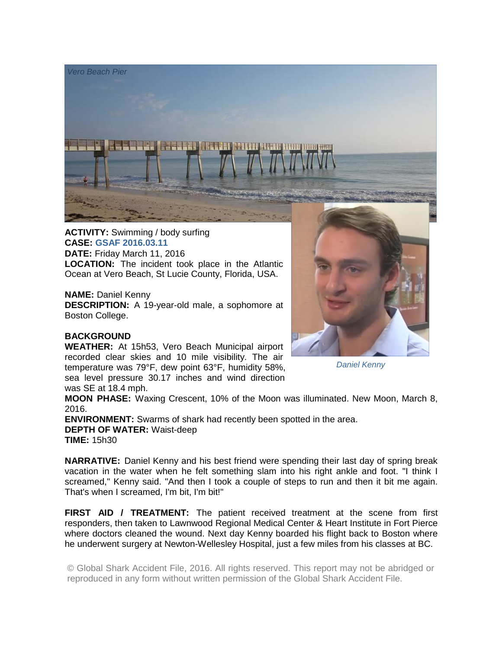

**ACTIVITY:** Swimming / body surfing **CASE: GSAF 2016.03.11 DATE:** Friday March 11, 2016 **LOCATION:** The incident took place in the Atlantic Ocean at Vero Beach, St Lucie County, Florida, USA.

**NAME:** Daniel Kenny **DESCRIPTION:** A 19-year-old male, a sophomore at Boston College.

## **BACKGROUND**

**WEATHER:** At 15h53, Vero Beach Municipal airport recorded clear skies and 10 mile visibility. The air temperature was 79°F, dew point 63°F, humidity 58%, sea level pressure 30.17 inches and wind direction was SE at 18.4 mph.

*Daniel Kenny* 

**MOON PHASE:** Waxing Crescent, 10% of the Moon was illuminated. New Moon, March 8, 2016.

**ENVIRONMENT:** Swarms of shark had recently been spotted in the area. **DEPTH OF WATER:** Waist-deep **TIME:** 15h30

**NARRATIVE:** Daniel Kenny and his best friend were spending their last day of spring break vacation in the water when he felt something slam into his right ankle and foot. "I think I screamed," Kenny said. "And then I took a couple of steps to run and then it bit me again. That's when I screamed, I'm bit, I'm bit!"

**FIRST AID / TREATMENT:** The patient received treatment at the scene from first responders, then taken to Lawnwood Regional Medical Center & Heart Institute in Fort Pierce where doctors cleaned the wound. Next day Kenny boarded his flight back to Boston where he underwent surgery at Newton-Wellesley Hospital, just a few miles from his classes at BC.

© Global Shark Accident File, 2016. All rights reserved. This report may not be abridged or reproduced in any form without written permission of the Global Shark Accident File.